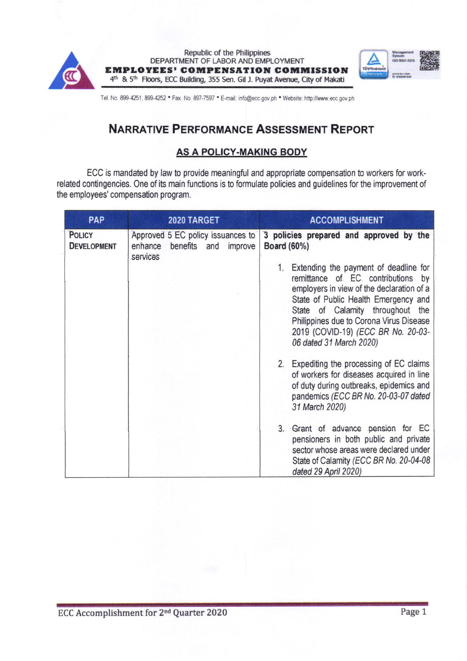



Tel. No. 899-4251; 899-4252 . Fax. No. 897-7597 . E-mail: info@ecc.gov.ph . Website: http://www.ecc.gov.ph

# NARRATIVE PERFORMANCE ASSESSMENT REPORT

## AS A POLICY-MAKING BODY

ECC is mandated by law to provide meaningful and appropriate compensation to workers for workrelated contingencies. One of its main functions is to formulate policies and guidelines for the improvement of the employees' compensation program.

| <b>PAP</b>                          | 2020 TARGET                                                                      | <b>ACCOMPLISHMENT</b>                                                                                                                                                                                                                                                                                                                                                                                                            |  |
|-------------------------------------|----------------------------------------------------------------------------------|----------------------------------------------------------------------------------------------------------------------------------------------------------------------------------------------------------------------------------------------------------------------------------------------------------------------------------------------------------------------------------------------------------------------------------|--|
| <b>POLICY</b><br><b>DEVELOPMENT</b> | Approved 5 EC policy issuances to<br>enhance<br>benefits and improve<br>services | 3 policies prepared and approved by the<br><b>Board (60%)</b><br>1. Extending the payment of deadline for<br>remittance of EC contributions by<br>employers in view of the declaration of a<br>State of Public Health Emergency and<br>State of Calamity throughout the<br>Philippines due to Corona Virus Disease<br>2019 (COVID-19) (ECC BR No. 20-03-<br>06 dated 31 March 2020)<br>2. Expediting the processing of EC claims |  |
|                                     |                                                                                  | of workers for diseases acquired in line<br>of duty during outbreaks, epidemics and<br>pandemics (ECC BR No. 20-03-07 dated<br>31 March 2020)<br>3. Grant of advance pension for EC<br>pensioners in both public and private<br>sector whose areas were declared under<br>State of Calamity (ECC BR No. 20-04-08                                                                                                                 |  |
|                                     |                                                                                  | dated 29 April 2020)                                                                                                                                                                                                                                                                                                                                                                                                             |  |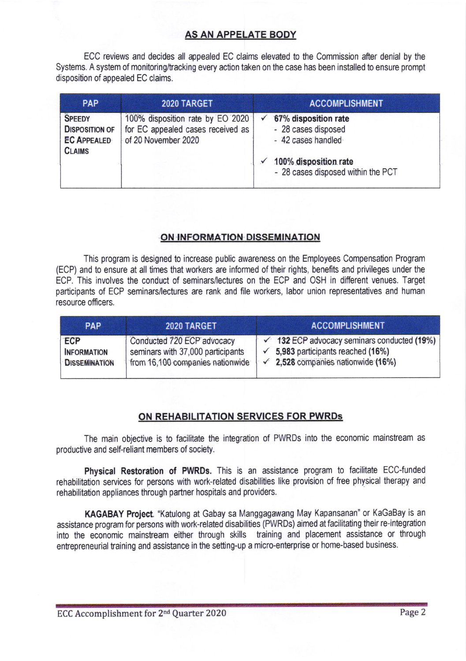# AS AN APPELATE BODY

ECC reviews and decides all appealed EC claims elevated to the Commission after denial by the Systems. A system of monitoring/tracking every action taken on the case has been installed to ensure prompt disposition of appealed EC claims.

| <b>PAP</b>                                                                    | 2020 TARGET                                                                                  | <b>ACCOMPLISHMENT</b>                                                                                                                     |  |  |
|-------------------------------------------------------------------------------|----------------------------------------------------------------------------------------------|-------------------------------------------------------------------------------------------------------------------------------------------|--|--|
| <b>SPEEDY</b><br><b>DISPOSITION OF</b><br><b>EC APPEALED</b><br><b>CLAIMS</b> | 100% disposition rate by EO 2020<br>for EC appealed cases received as<br>of 20 November 2020 | $\times$ 67% disposition rate<br>- 28 cases disposed<br>- 42 cases handled<br>100% disposition rate<br>- 28 cases disposed within the PCT |  |  |

#### ON INFORMATION DISSEMINATION

This program is designed to increase public awareness on the Employees Compensation Program (ECP) and to ensure at all times that workers are informed of their rights, benetits and privileges under the ECP, This involves the conduct of seminars/lectures on the ECP and OSH in different venues. Target participants of ECP seminars/lectures are rank and file workers, labor union representatives and human resource officers.

| <b>PAP</b>                                               | 2020 TARGET                                                                                         | <b>ACCOMPLISHMENT</b>                                                                                                                              |  |
|----------------------------------------------------------|-----------------------------------------------------------------------------------------------------|----------------------------------------------------------------------------------------------------------------------------------------------------|--|
| <b>ECP</b><br><b>INFORMATION</b><br><b>DISSEMINATION</b> | Conducted 720 ECP advocacy<br>seminars with 37,000 participants<br>from 16,100 companies nationwide | $\checkmark$ 132 ECP advocacy seminars conducted (19%)<br>5,983 participants reached (16%)<br>2,528 companies nationwide (16%)<br>$\epsilon \star$ |  |

## ON REHABILITATION SERVICES FOR PWRDs

The main objective is to facilitate the integration of PWRDs into the economic mainsfeam as productive and self-reliant members of society.

Physical Restoration of PWRDs. This is an assistance program to facilitate ECC-funded rehabilitation services for persons with work-related disabilities like provision of free physical therapy and rehabilitation appliances through partner hospitals and providers.

KAGABAY Project. "Katulong at Gabay sa Manggagawang May Kapansanan" or KaGaBay is an assistance program for persons with work+elated disabilities (PWRDs) aimed at facilitating their re-integration into the economic mainstream either through skills training and placement assistance or through entrepreneurial training and assistance in the setting-up a micro-enterprise or home-based business.